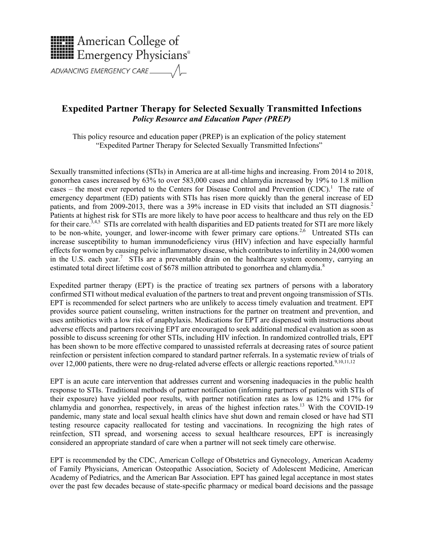

## **Expedited Partner Therapy for Selected Sexually Transmitted Infections** *Policy Resource and Education Paper (PREP)*

This policy resource and education paper (PREP) is an explication of the policy statement "Expedited Partner Therapy for Selected Sexually Transmitted Infections"

Sexually transmitted infections (STIs) in America are at all-time highs and increasing. From 2014 to 2018, gonorrhea cases increased by 63% to over 583,000 cases and chlamydia increased by 19% to 1.8 million cases – the most ever reported to the Centers for Disease Control and Prevention  $(CDC)$ .<sup>1</sup> The rate of emergency department (ED) patients with STIs has risen more quickly than the general increase of ED patients, and from 2009-2013, there was a 39% increase in ED visits that included an STI diagnosis.<sup>2</sup> Patients at highest risk for STIs are more likely to have poor access to healthcare and thus rely on the ED for their care.<sup>3,4,5</sup> STIs are correlated with health disparities and ED patients treated for STI are more likely to be non-white, younger, and lower-income with fewer primary care options.<sup>2,6</sup> Untreated STIs can increase susceptibility to human immunodeficiency virus (HIV) infection and have especially harmful effects for women by causing pelvic inflammatory disease, which contributes to infertility in 24,000 women in the U.S. each year.<sup>7</sup> STIs are a preventable drain on the healthcare system economy, carrying an estimated total direct lifetime cost of  $$678$  million attributed to gonorrhea and chlamydia.<sup>8</sup>

Expedited partner therapy (EPT) is the practice of treating sex partners of persons with a laboratory confirmed STI without medical evaluation of the partners to treat and prevent ongoing transmission of STIs. EPT is recommended for select partners who are unlikely to access timely evaluation and treatment. EPT provides source patient counseling, written instructions for the partner on treatment and prevention, and uses antibiotics with a low risk of anaphylaxis. Medications for EPT are dispensed with instructions about adverse effects and partners receiving EPT are encouraged to seek additional medical evaluation as soon as possible to discuss screening for other STIs, including HIV infection. In randomized controlled trials, EPT has been shown to be more effective compared to unassisted referrals at decreasing rates of source patient reinfection or persistent infection compared to standard partner referrals. In a systematic review of trials of over 12,000 patients, there were no drug-related adverse effects or allergic reactions reported.<sup>9,10,11,12</sup>

EPT is an acute care intervention that addresses current and worsening inadequacies in the public health response to STIs. Traditional methods of partner notification (informing partners of patients with STIs of their exposure) have yielded poor results, with partner notification rates as low as 12% and 17% for chlamydia and gonorrhea, respectively, in areas of the highest infection rates.13 With the COVID-19 pandemic, many state and local sexual health clinics have shut down and remain closed or have had STI testing resource capacity reallocated for testing and vaccinations. In recognizing the high rates of reinfection, STI spread, and worsening access to sexual healthcare resources, EPT is increasingly considered an appropriate standard of care when a partner will not seek timely care otherwise.

EPT is recommended by the CDC, American College of Obstetrics and Gynecology, American Academy of Family Physicians, American Osteopathic Association, Society of Adolescent Medicine, American Academy of Pediatrics, and the American Bar Association. EPT has gained legal acceptance in most states over the past few decades because of state-specific pharmacy or medical board decisions and the passage